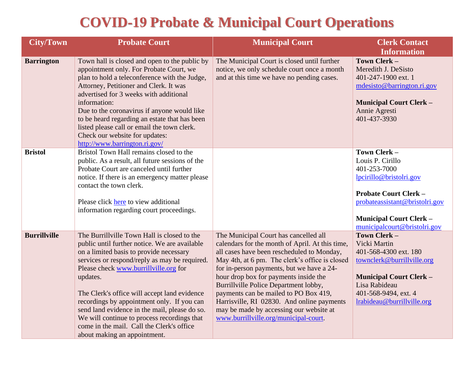## **COVID-19 Probate & Municipal Court Operations**

| <b>City/Town</b>    | <b>Probate Court</b>                                                                                                                                                                                                                                                                                                                                                                                                                                                                                                     | <b>Municipal Court</b>                                                                                                                                                                                                                                                                                                                                                                                                                                                                             | <b>Clerk Contact</b>                                                                                                                                                                                            |
|---------------------|--------------------------------------------------------------------------------------------------------------------------------------------------------------------------------------------------------------------------------------------------------------------------------------------------------------------------------------------------------------------------------------------------------------------------------------------------------------------------------------------------------------------------|----------------------------------------------------------------------------------------------------------------------------------------------------------------------------------------------------------------------------------------------------------------------------------------------------------------------------------------------------------------------------------------------------------------------------------------------------------------------------------------------------|-----------------------------------------------------------------------------------------------------------------------------------------------------------------------------------------------------------------|
|                     |                                                                                                                                                                                                                                                                                                                                                                                                                                                                                                                          |                                                                                                                                                                                                                                                                                                                                                                                                                                                                                                    | <b>Information</b>                                                                                                                                                                                              |
| <b>Barrington</b>   | Town hall is closed and open to the public by<br>appointment only. For Probate Court, we<br>plan to hold a teleconference with the Judge,<br>Attorney, Petitioner and Clerk. It was<br>advertised for 3 weeks with additional<br>information:<br>Due to the coronavirus if anyone would like<br>to be heard regarding an estate that has been<br>listed please call or email the town clerk.<br>Check our website for updates:<br>http://www.barrington.ri.gov/                                                          | The Municipal Court is closed until further<br>notice, we only schedule court once a month<br>and at this time we have no pending cases.                                                                                                                                                                                                                                                                                                                                                           | Town Clerk -<br>Meredith J. DeSisto<br>401-247-1900 ext. 1<br>mdesisto@barrington.ri.gov<br><b>Municipal Court Clerk -</b><br>Annie Agresti<br>401-437-3930                                                     |
| <b>Bristol</b>      | Bristol Town Hall remains closed to the<br>public. As a result, all future sessions of the<br>Probate Court are canceled until further<br>notice. If there is an emergency matter please<br>contact the town clerk.<br>Please click here to view additional<br>information regarding court proceedings.                                                                                                                                                                                                                  |                                                                                                                                                                                                                                                                                                                                                                                                                                                                                                    | Town Clerk -<br>Louis P. Cirillo<br>401-253-7000<br>lpcirillo@bristolri.gov<br><b>Probate Court Clerk -</b><br>probateassistant@bristolri.gov<br><b>Municipal Court Clerk -</b><br>municipalcourt@bristolri.gov |
| <b>Burrillville</b> | The Burrillville Town Hall is closed to the<br>public until further notice. We are available<br>on a limited basis to provide necessary<br>services or respond/reply as may be required.<br>Please check www.burrillville.org for<br>updates.<br>The Clerk's office will accept land evidence<br>recordings by appointment only. If you can<br>send land evidence in the mail, please do so.<br>We will continue to process recordings that<br>come in the mail. Call the Clerk's office<br>about making an appointment. | The Municipal Court has cancelled all<br>calendars for the month of April. At this time,<br>all cases have been rescheduled to Monday,<br>May 4th, at 6 pm. The clerk's office is closed<br>for in-person payments, but we have a 24-<br>hour drop box for payments inside the<br>Burrillville Police Department lobby,<br>payments can be mailed to PO Box 419,<br>Harrisville, RI 02830. And online payments<br>may be made by accessing our website at<br>www.burrillville.org/municipal-court. | Town Clerk -<br>Vicki Martin<br>401-568-4300 ext. 180<br>townclerk@burrillville.org<br><b>Municipal Court Clerk -</b><br>Lisa Rabideau<br>401-568-9494, ext. 4<br>lrabideau@burrillville.org                    |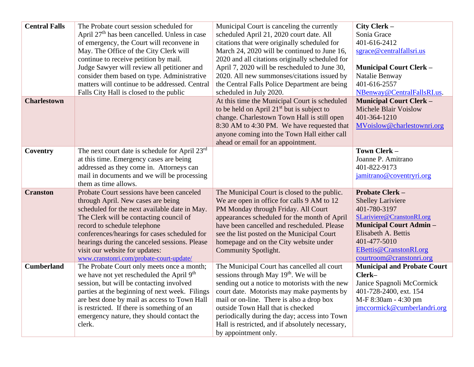| <b>Central Falls</b> | The Probate court session scheduled for<br>April 27 <sup>th</sup> has been cancelled. Unless in case<br>of emergency, the Court will reconvene in<br>May. The Office of the City Clerk will<br>continue to receive petition by mail.<br>Judge Sawyer will review all petitioner and<br>consider them based on type. Administrative<br>matters will continue to be addressed. Central<br>Falls City Hall is closed to the public | Municipal Court is canceling the currently<br>scheduled April 21, 2020 court date. All<br>citations that were originally scheduled for<br>March 24, 2020 will be continued to June 16,<br>2020 and all citations originally scheduled for<br>April 7, 2020 will be rescheduled to June 30,<br>2020. All new summonses/citations issued by<br>the Central Falls Police Department are being<br>scheduled in July 2020. | City Clerk -<br>Sonia Grace<br>401-616-2412<br>sgrace@centralfallsri.us<br><b>Municipal Court Clerk -</b><br>Natalie Benway<br>401-616-2557<br>NBenway@CentralFallsRI.us.                                                      |
|----------------------|---------------------------------------------------------------------------------------------------------------------------------------------------------------------------------------------------------------------------------------------------------------------------------------------------------------------------------------------------------------------------------------------------------------------------------|-----------------------------------------------------------------------------------------------------------------------------------------------------------------------------------------------------------------------------------------------------------------------------------------------------------------------------------------------------------------------------------------------------------------------|--------------------------------------------------------------------------------------------------------------------------------------------------------------------------------------------------------------------------------|
| <b>Charlestown</b>   |                                                                                                                                                                                                                                                                                                                                                                                                                                 | At this time the Municipal Court is scheduled<br>to be held on April $21st$ but is subject to<br>change. Charlestown Town Hall is still open<br>8:30 AM to 4:30 PM. We have requested that<br>anyone coming into the Town Hall either call<br>ahead or email for an appointment.                                                                                                                                      | <b>Municipal Court Clerk -</b><br><b>Michele Blair Voislow</b><br>401-364-1210<br>MVoislow@charlestownri.org                                                                                                                   |
| Coventry             | The next court date is schedule for April 23rd<br>at this time. Emergency cases are being<br>addressed as they come in. Attorneys can<br>mail in documents and we will be processing<br>them as time allows.                                                                                                                                                                                                                    |                                                                                                                                                                                                                                                                                                                                                                                                                       | Town Clerk-<br>Joanne P. Amitrano<br>401-822-9173<br>jamitrano@coventryri.org                                                                                                                                                  |
| <b>Cranston</b>      | Probate Court sessions have been canceled<br>through April. New cases are being<br>scheduled for the next available date in May.<br>The Clerk will be contacting council of<br>record to schedule telephone<br>conferences/hearings for cases scheduled for<br>hearings during the canceled sessions. Please<br>visit our website for updates:<br>www.cranstonri.com/probate-court-update/                                      | The Municipal Court is closed to the public.<br>We are open in office for calls 9 AM to 12<br>PM Monday through Friday. All Court<br>appearances scheduled for the month of April<br>have been cancelled and rescheduled. Please<br>see the list posted on the Municipal Court<br>homepage and on the City website under<br>Community Spotlight.                                                                      | <b>Probate Clerk -</b><br><b>Shelley Lariviere</b><br>401-780-3197<br>SLariviere@CranstonRI.org<br><b>Municipal Court Admin -</b><br>Elisabeth A. Bettis<br>401-477-5010<br>EBettis@CranstonRI.org<br>courtroom@cranstonri.org |
| <b>Cumberland</b>    | The Probate Court only meets once a month;<br>we have not yet rescheduled the April 9 <sup>th</sup><br>session, but will be contacting involved<br>parties at the beginning of next week. Filings<br>are best done by mail as access to Town Hall<br>is restricted. If there is something of an<br>emergency nature, they should contact the<br>clerk.                                                                          | The Municipal Court has cancelled all court<br>sessions through May 19 <sup>th</sup> . We will be<br>sending out a notice to motorists with the new<br>court date. Motorists may make payments by<br>mail or on-line. There is also a drop box<br>outside Town Hall that is checked<br>periodically during the day; access into Town<br>Hall is restricted, and if absolutely necessary,<br>by appointment only.      | <b>Municipal and Probate Court</b><br>Clerk-<br>Janice Spagnoli McCormick<br>401-728-2400, ext. 154<br>M-F 8:30am - 4:30 pm<br>jmccormick@cumberlandri.org                                                                     |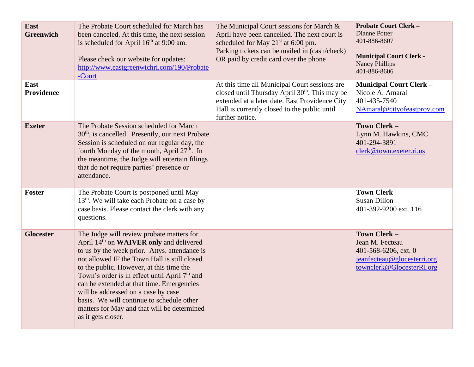| East<br><b>Greenwich</b> | The Probate Court scheduled for March has<br>been canceled. At this time, the next session<br>is scheduled for April 16 <sup>th</sup> at 9:00 am.<br>Please check our website for updates:<br>http://www.eastgreenwichri.com/190/Probate<br>-Court                                                                                                                                                                                                                                                                      | The Municipal Court sessions for March &<br>April have been cancelled. The next court is<br>scheduled for May 21 <sup>st</sup> at 6:00 pm.<br>Parking tickets can be mailed in (cash/check)<br>OR paid by credit card over the phone | <b>Probate Court Clerk -</b><br>Dianne Potter<br>401-886-8607<br><b>Municipal Court Clerk -</b><br><b>Nancy Phillips</b><br>401-886-8606 |
|--------------------------|-------------------------------------------------------------------------------------------------------------------------------------------------------------------------------------------------------------------------------------------------------------------------------------------------------------------------------------------------------------------------------------------------------------------------------------------------------------------------------------------------------------------------|--------------------------------------------------------------------------------------------------------------------------------------------------------------------------------------------------------------------------------------|------------------------------------------------------------------------------------------------------------------------------------------|
| East<br>Providence       |                                                                                                                                                                                                                                                                                                                                                                                                                                                                                                                         | At this time all Municipal Court sessions are<br>closed until Thursday April 30 <sup>th</sup> . This may be<br>extended at a later date. East Providence City<br>Hall is currently closed to the public until<br>further notice.     | <b>Municipal Court Clerk -</b><br>Nicole A. Amaral<br>401-435-7540<br>NAmaral@cityofeastprov.com                                         |
| <b>Exeter</b>            | The Probate Session scheduled for March<br>$30th$ , is cancelled. Presently, our next Probate<br>Session is scheduled on our regular day, the<br>fourth Monday of the month, April 27 <sup>th</sup> . In<br>the meantime, the Judge will entertain filings<br>that do not require parties' presence or<br>attendance.                                                                                                                                                                                                   |                                                                                                                                                                                                                                      | Town Clerk -<br>Lynn M. Hawkins, CMC<br>401-294-3891<br>clerk@town.exeter.ri.us                                                          |
| Foster                   | The Probate Court is postponed until May<br>13 <sup>th</sup> . We will take each Probate on a case by<br>case basis. Please contact the clerk with any<br>questions.                                                                                                                                                                                                                                                                                                                                                    |                                                                                                                                                                                                                                      | Town Clerk -<br><b>Susan Dillon</b><br>401-392-9200 ext. 116                                                                             |
| <b>Glocester</b>         | The Judge will review probate matters for<br>April 14 <sup>th</sup> on <b>WAIVER</b> only and delivered<br>to us by the week prior. Attys. attendance is<br>not allowed IF the Town Hall is still closed<br>to the public. However, at this time the<br>Town's order is in effect until April 7 <sup>th</sup> and<br>can be extended at that time. Emergencies<br>will be addressed on a case by case<br>basis. We will continue to schedule other<br>matters for May and that will be determined<br>as it gets closer. |                                                                                                                                                                                                                                      | Town Clerk -<br>Jean M. Fecteau<br>401-568-6206, ext. 0<br>jeanfecteau@glocesterri.org<br>townclerk@GlocesterRI.org                      |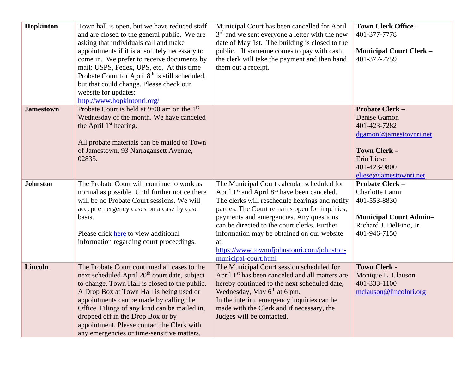| Hopkinton        | Town hall is open, but we have reduced staff<br>and are closed to the general public. We are<br>asking that individuals call and make<br>appointments if it is absolutely necessary to<br>come in. We prefer to receive documents by<br>mail: USPS, Fedex, UPS, etc. At this time<br>Probate Court for April 8 <sup>th</sup> is still scheduled,<br>but that could change. Please check our<br>website for updates:<br>http://www.hopkintonri.org/ | Municipal Court has been cancelled for April<br>$3rd$ and we sent everyone a letter with the new<br>date of May 1st. The building is closed to the<br>public. If someone comes to pay with cash,<br>the clerk will take the payment and then hand<br>them out a receipt.                                                                                                                                                                    | Town Clerk Office -<br>401-377-7778<br><b>Municipal Court Clerk -</b><br>401-377-7759                                                                           |
|------------------|----------------------------------------------------------------------------------------------------------------------------------------------------------------------------------------------------------------------------------------------------------------------------------------------------------------------------------------------------------------------------------------------------------------------------------------------------|---------------------------------------------------------------------------------------------------------------------------------------------------------------------------------------------------------------------------------------------------------------------------------------------------------------------------------------------------------------------------------------------------------------------------------------------|-----------------------------------------------------------------------------------------------------------------------------------------------------------------|
| <b>Jamestown</b> | Probate Court is held at 9:00 am on the 1 <sup>st</sup><br>Wednesday of the month. We have canceled<br>the April 1 <sup>st</sup> hearing.<br>All probate materials can be mailed to Town<br>of Jamestown, 93 Narragansett Avenue,<br>02835.                                                                                                                                                                                                        |                                                                                                                                                                                                                                                                                                                                                                                                                                             | <b>Probate Clerk -</b><br>Denise Gamon<br>401-423-7282<br>dgamon@jamestownri.net<br><b>Town Clerk -</b><br>Erin Liese<br>401-423-9800<br>eliese@jamestownri.net |
| <b>Johnston</b>  | The Probate Court will continue to work as<br>normal as possible. Until further notice there<br>will be no Probate Court sessions. We will<br>accept emergency cases on a case by case<br>basis.<br>Please click here to view additional<br>information regarding court proceedings.                                                                                                                                                               | The Municipal Court calendar scheduled for<br>April 1 <sup>st</sup> and April 8 <sup>th</sup> have been canceled.<br>The clerks will reschedule hearings and notify<br>parties. The Court remains open for inquiries,<br>payments and emergencies. Any questions<br>can be directed to the court clerks. Further<br>information may be obtained on our website<br>at:<br>https://www.townofjohnstonri.com/johnston-<br>municipal-court.html | <b>Probate Clerk -</b><br>Charlotte Lanni<br>401-553-8830<br><b>Municipal Court Admin-</b><br>Richard J. DelFino, Jr.<br>401-946-7150                           |
| Lincoln          | The Probate Court continued all cases to the<br>next scheduled April 20 <sup>th</sup> court date, subject<br>to change. Town Hall is closed to the public.<br>A Drop Box at Town Hall is being used or<br>appointments can be made by calling the<br>Office. Filings of any kind can be mailed in,<br>dropped off in the Drop Box or by<br>appointment. Please contact the Clerk with<br>any emergencies or time-sensitive matters.                | The Municipal Court session scheduled for<br>April 1 <sup>st</sup> has been canceled and all matters are<br>hereby continued to the next scheduled date,<br>Wednesday, May $6th$ at 6 pm.<br>In the interim, emergency inquiries can be<br>made with the Clerk and if necessary, the<br>Judges will be contacted.                                                                                                                           | <b>Town Clerk -</b><br>Monique L. Clauson<br>401-333-1100<br>mclauson@lincolnri.org                                                                             |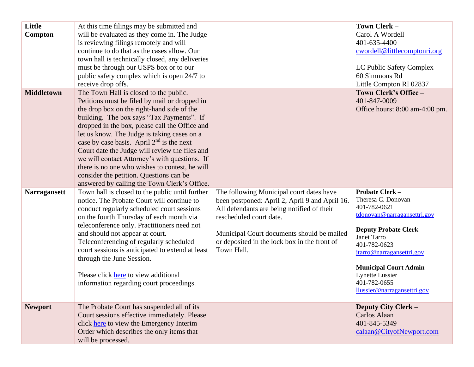| Little<br>Compton   | At this time filings may be submitted and<br>will be evaluated as they come in. The Judge<br>is reviewing filings remotely and will<br>continue to do that as the cases allow. Our<br>town hall is technically closed, any deliveries<br>must be through our USPS box or to our<br>public safety complex which is open 24/7 to<br>receive drop offs.                                                                                                                                                                                                                               |                                                                                                                                                                                                                                                                                 | Town Clerk -<br>Carol A Wordell<br>401-635-4400<br>cwordell@littlecomptonri.org<br>LC Public Safety Complex<br>60 Simmons Rd<br>Little Compton RI 02837                                                                                                                                             |
|---------------------|------------------------------------------------------------------------------------------------------------------------------------------------------------------------------------------------------------------------------------------------------------------------------------------------------------------------------------------------------------------------------------------------------------------------------------------------------------------------------------------------------------------------------------------------------------------------------------|---------------------------------------------------------------------------------------------------------------------------------------------------------------------------------------------------------------------------------------------------------------------------------|-----------------------------------------------------------------------------------------------------------------------------------------------------------------------------------------------------------------------------------------------------------------------------------------------------|
| <b>Middletown</b>   | The Town Hall is closed to the public.<br>Petitions must be filed by mail or dropped in<br>the drop box on the right-hand side of the<br>building. The box says "Tax Payments". If<br>dropped in the box, please call the Office and<br>let us know. The Judge is taking cases on a<br>case by case basis. April $2nd$ is the next<br>Court date the Judge will review the files and<br>we will contact Attorney's with questions. If<br>there is no one who wishes to contest, he will<br>consider the petition. Questions can be<br>answered by calling the Town Clerk's Office. |                                                                                                                                                                                                                                                                                 | Town Clerk's Office -<br>401-847-0009<br>Office hours: 8:00 am-4:00 pm.                                                                                                                                                                                                                             |
| <b>Narragansett</b> | Town hall is closed to the public until further<br>notice. The Probate Court will continue to<br>conduct regularly scheduled court sessions<br>on the fourth Thursday of each month via<br>teleconference only. Practitioners need not<br>and should not appear at court.<br>Teleconferencing of regularly scheduled<br>court sessions is anticipated to extend at least<br>through the June Session.<br>Please click here to view additional<br>information regarding court proceedings.                                                                                          | The following Municipal court dates have<br>been postponed: April 2, April 9 and April 16.<br>All defendants are being notified of their<br>rescheduled court date.<br>Municipal Court documents should be mailed<br>or deposited in the lock box in the front of<br>Town Hall. | <b>Probate Clerk -</b><br>Theresa C. Donovan<br>401-782-0621<br>tdonovan@narragansettri.gov<br><b>Deputy Probate Clerk -</b><br>Janet Tarro<br>401-782-0623<br>jtarro@narragansettri.gov<br><b>Municipal Court Admin -</b><br><b>Lynette Lussier</b><br>401-782-0655<br>llussier@narragansettri.gov |
| <b>Newport</b>      | The Probate Court has suspended all of its<br>Court sessions effective immediately. Please<br>click here to view the Emergency Interim<br>Order which describes the only items that<br>will be processed.                                                                                                                                                                                                                                                                                                                                                                          |                                                                                                                                                                                                                                                                                 | <b>Deputy City Clerk -</b><br>Carlos Alaan<br>401-845-5349<br>calaan@CityofNewport.com                                                                                                                                                                                                              |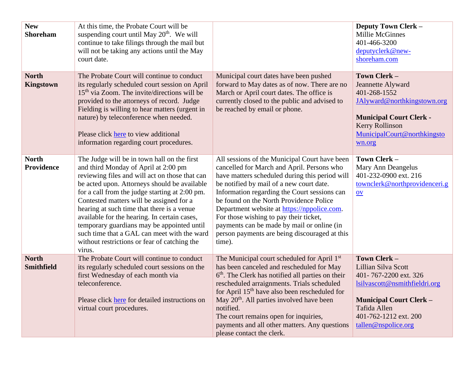| <b>New</b><br><b>Shoreham</b>     | At this time, the Probate Court will be<br>suspending court until May 20 <sup>th</sup> . We will<br>continue to take filings through the mail but<br>will not be taking any actions until the May<br>court date.                                                                                                                                                                                                                                                                                                                         |                                                                                                                                                                                                                                                                                                                                                                                                                                                                                        | Deputy Town Clerk -<br><b>Millie McGinnes</b><br>401-466-3200<br>deputyclerk@new-<br>shoreham.com                                                                                               |
|-----------------------------------|------------------------------------------------------------------------------------------------------------------------------------------------------------------------------------------------------------------------------------------------------------------------------------------------------------------------------------------------------------------------------------------------------------------------------------------------------------------------------------------------------------------------------------------|----------------------------------------------------------------------------------------------------------------------------------------------------------------------------------------------------------------------------------------------------------------------------------------------------------------------------------------------------------------------------------------------------------------------------------------------------------------------------------------|-------------------------------------------------------------------------------------------------------------------------------------------------------------------------------------------------|
| <b>North</b><br><b>Kingstown</b>  | The Probate Court will continue to conduct<br>its regularly scheduled court session on April<br>$15th$ via Zoom. The invite/directions will be<br>provided to the attorneys of record. Judge<br>Fielding is willing to hear matters (urgent in<br>nature) by teleconference when needed.<br>Please click here to view additional<br>information regarding court procedures.                                                                                                                                                              | Municipal court dates have been pushed<br>forward to May dates as of now. There are no<br>March or April court dates. The office is<br>currently closed to the public and advised to<br>be reached by email or phone.                                                                                                                                                                                                                                                                  | Town Clerk -<br>Jeannette Alyward<br>401-268-1552<br>JAlyward@northkingstown.org<br><b>Municipal Court Clerk -</b><br><b>Kerry Rollinson</b><br>MunicipalCourt@northkingsto<br>wn.org           |
| <b>North</b><br>Providence        | The Judge will be in town hall on the first<br>and third Monday of April at 2:00 pm<br>reviewing files and will act on those that can<br>be acted upon. Attorneys should be available<br>for a call from the judge starting at 2:00 pm.<br>Contested matters will be assigned for a<br>hearing at such time that there is a venue<br>available for the hearing. In certain cases,<br>temporary guardians may be appointed until<br>such time that a GAL can meet with the ward<br>without restrictions or fear of catching the<br>virus. | All sessions of the Municipal Court have been<br>cancelled for March and April. Persons who<br>have matters scheduled during this period will<br>be notified by mail of a new court date.<br>Information regarding the Court sessions can<br>be found on the North Providence Police<br>Department website at https://nppolice.com.<br>For those wishing to pay their ticket,<br>payments can be made by mail or online (in<br>person payments are being discouraged at this<br>time). | Town Clerk -<br>Mary Ann Deangelus<br>401-232-0900 ext. 216<br>townclerk@northprovidenceri.g<br>QV                                                                                              |
| <b>North</b><br><b>Smithfield</b> | The Probate Court will continue to conduct<br>its regularly scheduled court sessions on the<br>first Wednesday of each month via<br>teleconference.<br>Please click here for detailed instructions on<br>virtual court procedures.                                                                                                                                                                                                                                                                                                       | The Municipal court scheduled for April 1st<br>has been canceled and rescheduled for May<br>6 <sup>th</sup> . The Clerk has notified all parties on their<br>rescheduled arraignments. Trials scheduled<br>for April 15 <sup>th</sup> have also been rescheduled for<br>May 20 <sup>th</sup> . All parties involved have been<br>notified.<br>The court remains open for inquiries,<br>payments and all other matters. Any questions<br>please contact the clerk.                      | Town Clerk -<br>Lillian Silva Scott<br>401-767-2200 ext. 326<br>lsilvascott@nsmithfieldri.org<br><b>Municipal Court Clerk -</b><br>Tafida Allen<br>401-762-1212 ext. 200<br>tallen@nspolice.org |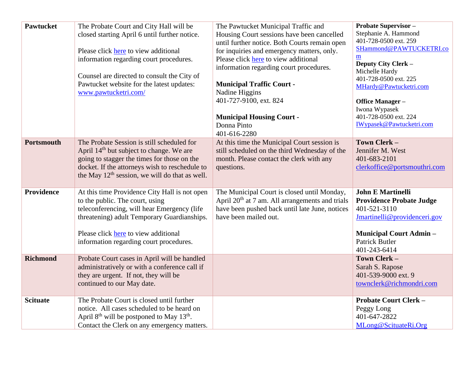| <b>Pawtucket</b>  | The Probate Court and City Hall will be<br>closed starting April 6 until further notice.<br>Please click here to view additional<br>information regarding court procedures.<br>Counsel are directed to consult the City of<br>Pawtucket website for the latest updates:<br>www.pawtucketri.com/ | The Pawtucket Municipal Traffic and<br>Housing Court sessions have been cancelled<br>until further notice. Both Courts remain open<br>for inquiries and emergency matters, only.<br>Please click here to view additional<br>information regarding court procedures.<br><b>Municipal Traffic Court -</b><br>Nadine Higgins<br>401-727-9100, ext. 824<br><b>Municipal Housing Court -</b><br>Donna Pinto<br>401-616-2280 | <b>Probate Supervisor -</b><br>Stephanie A. Hammond<br>401-728-0500 ext. 259<br>SHammond@PAWTUCKETRI.co<br>$\underline{\mathbf{m}}$<br>Deputy City Clerk -<br>Michelle Hardy<br>401-728-0500 ext. 225<br>MHardy@Pawtucketri.com<br>Office Manager-<br>Iwona Wypasek<br>401-728-0500 ext. 224<br><b>IWypasek@Pawtucketri.com</b> |
|-------------------|-------------------------------------------------------------------------------------------------------------------------------------------------------------------------------------------------------------------------------------------------------------------------------------------------|------------------------------------------------------------------------------------------------------------------------------------------------------------------------------------------------------------------------------------------------------------------------------------------------------------------------------------------------------------------------------------------------------------------------|---------------------------------------------------------------------------------------------------------------------------------------------------------------------------------------------------------------------------------------------------------------------------------------------------------------------------------|
| <b>Portsmouth</b> | The Probate Session is still scheduled for<br>April 14 <sup>th</sup> but subject to change. We are<br>going to stagger the times for those on the<br>docket. If the attorneys wish to reschedule to<br>the May $12th$ session, we will do that as well.                                         | At this time the Municipal Court session is<br>still scheduled on the third Wednesday of the<br>month. Please contact the clerk with any<br>questions.                                                                                                                                                                                                                                                                 | Town Clerk -<br>Jennifer M. West<br>401-683-2101<br>clerkoffice@portsmouthri.com                                                                                                                                                                                                                                                |
| Providence        | At this time Providence City Hall is not open<br>to the public. The court, using<br>teleconferencing, will hear Emergency (life<br>threatening) adult Temporary Guardianships.<br>Please click here to view additional<br>information regarding court procedures.                               | The Municipal Court is closed until Monday,<br>April 20 <sup>th</sup> at 7 am. All arrangements and trials<br>have been pushed back until late June, notices<br>have been mailed out.                                                                                                                                                                                                                                  | <b>John E Martinelli</b><br><b>Providence Probate Judge</b><br>401-521-3110<br>Jmartinelli@providenceri.gov<br><b>Municipal Court Admin -</b><br><b>Patrick Butler</b><br>401-243-6414                                                                                                                                          |
| <b>Richmond</b>   | Probate Court cases in April will be handled<br>administratively or with a conference call if<br>they are urgent. If not, they will be<br>continued to our May date.                                                                                                                            |                                                                                                                                                                                                                                                                                                                                                                                                                        | Town Clerk -<br>Sarah S. Rapose<br>401-539-9000 ext. 9<br>townclerk@richmondri.com                                                                                                                                                                                                                                              |
| <b>Scituate</b>   | The Probate Court is closed until further<br>notice. All cases scheduled to be heard on<br>April $8th$ will be postponed to May 13 <sup>th</sup> .<br>Contact the Clerk on any emergency matters.                                                                                               |                                                                                                                                                                                                                                                                                                                                                                                                                        | <b>Probate Court Clerk -</b><br>Peggy Long<br>401-647-2822<br>MLong@ScituateRi.Org                                                                                                                                                                                                                                              |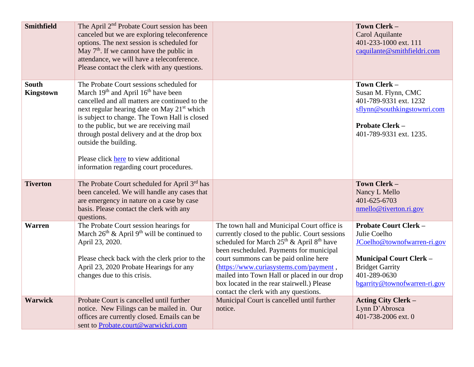| <b>Smithfield</b>                | The April 2 <sup>nd</sup> Probate Court session has been<br>canceled but we are exploring teleconference<br>options. The next session is scheduled for<br>May $7th$ . If we cannot have the public in<br>attendance, we will have a teleconference.<br>Please contact the clerk with any questions.                                                                                                                                                                          |                                                                                                                                                                                                                                                                                                                                                                                                                     | Town Clerk -<br>Carol Aquilante<br>401-233-1000 ext. 111<br>caquilante@smithfieldri.com                                                                                                 |
|----------------------------------|------------------------------------------------------------------------------------------------------------------------------------------------------------------------------------------------------------------------------------------------------------------------------------------------------------------------------------------------------------------------------------------------------------------------------------------------------------------------------|---------------------------------------------------------------------------------------------------------------------------------------------------------------------------------------------------------------------------------------------------------------------------------------------------------------------------------------------------------------------------------------------------------------------|-----------------------------------------------------------------------------------------------------------------------------------------------------------------------------------------|
| <b>South</b><br><b>Kingstown</b> | The Probate Court sessions scheduled for<br>March 19 <sup>th</sup> and April 16 <sup>th</sup> have been<br>cancelled and all matters are continued to the<br>next regular hearing date on May 21 <sup>st</sup> which<br>is subject to change. The Town Hall is closed<br>to the public, but we are receiving mail<br>through postal delivery and at the drop box<br>outside the building.<br>Please click here to view additional<br>information regarding court procedures. |                                                                                                                                                                                                                                                                                                                                                                                                                     | Town Clerk -<br>Susan M. Flynn, CMC<br>401-789-9331 ext. 1232<br>sflynn@southkingstownri.com<br><b>Probate Clerk -</b><br>401-789-9331 ext. 1235.                                       |
| <b>Tiverton</b>                  | The Probate Court scheduled for April 3rd has<br>been canceled. We will handle any cases that<br>are emergency in nature on a case by case<br>basis. Please contact the clerk with any<br>questions.                                                                                                                                                                                                                                                                         |                                                                                                                                                                                                                                                                                                                                                                                                                     | Town Clerk -<br>Nancy L Mello<br>401-625-6703<br>nmello@tiverton.ri.gov                                                                                                                 |
| <b>Warren</b>                    | The Probate Court session hearings for<br>March $26th$ & April 9 <sup>th</sup> will be continued to<br>April 23, 2020.<br>Please check back with the clerk prior to the<br>April 23, 2020 Probate Hearings for any<br>changes due to this crisis.                                                                                                                                                                                                                            | The town hall and Municipal Court office is<br>currently closed to the public. Court sessions<br>scheduled for March $25th$ & April $8th$ have<br>been rescheduled. Payments for municipal<br>court summons can be paid online here<br>(https://www.curiasystems.com/payment,<br>mailed into Town Hall or placed in our drop<br>box located in the rear stairwell.) Please<br>contact the clerk with any questions. | <b>Probate Court Clerk -</b><br>Julie Coelho<br>JCoelho@townofwarren-ri.gov<br><b>Municipal Court Clerk -</b><br><b>Bridget Garrity</b><br>401-289-0630<br>bgarrity@townofwarren-ri.gov |
| <b>Warwick</b>                   | Probate Court is cancelled until further<br>notice. New Filings can be mailed in. Our<br>offices are currently closed. Emails can be<br>sent to Probate.court@warwickri.com                                                                                                                                                                                                                                                                                                  | Municipal Court is cancelled until further<br>notice.                                                                                                                                                                                                                                                                                                                                                               | <b>Acting City Clerk -</b><br>Lynn D'Abrosca<br>401-738-2006 ext. 0                                                                                                                     |